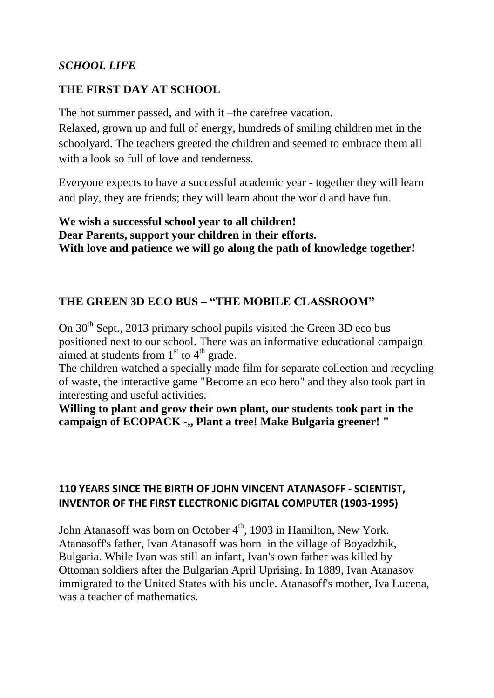# *SCHOOL LIFE*

# **THE FIRST DAY AT SCHOOL**

The hot summer passed, and with it –the carefree vacation. Relaxed, grown up and full of energy, hundreds of smiling children met in the schoolyard. The teachers greeted the children and seemed to embrace them all with a look so full of love and tenderness.

Everyone expects to have a successful academic year - together they will learn and play, they are friends; they will learn about the world and have fun.

**We wish a successful school year to all children! Dear Parents, support your children in their efforts. With love and patience we will go along the path of knowledge together!**

#### **THE GREEN 3D ECO BUS – "THE MOBILE CLASSROOM"**

On  $30<sup>th</sup>$  Sept., 2013 primary school pupils visited the Green 3D eco bus positioned next to our school. There was an informative educational campaign aimed at students from  $1<sup>st</sup>$  to  $4<sup>th</sup>$  grade.

The children watched a specially made film for separate collection and recycling of waste, the interactive game "Become an eco hero" and they also took part in interesting and useful activities.

**Willing to plant and grow their own plant, our students took part in the campaign of ECOPACK -,, Plant a tree! Make Bulgaria greener! "**

#### **110 YEARS SINCE THE BIRTH OF JOHN VINCENT ATANASOFF - SCIENTIST, INVENTOR OF THE FIRST ELECTRONIC DIGITAL COMPUTER (1903-1995)**

John Atanasoff was born on October  $4<sup>th</sup>$ , 1903 in [Hamilton, New York.](http://en.wikipedia.org/wiki/Hamilton_%28village%29,_New_York) Atanasoff's father, Ivan Atanasoff was born in the village of [Boyadzhik,](http://en.wikipedia.org/wiki/Boyadzhik) [Bulgaria.](http://en.wikipedia.org/wiki/Bulgaria) While Ivan was still an infant, Ivan's own father was killed by [Ottoman soldiers](http://en.wikipedia.org/wiki/Ottoman_empire) after the Bulgarian [April Uprising.](http://en.wikipedia.org/wiki/April_Uprising) In 1889, Ivan Atanasov immigrated to the United States with his uncle. Atanasoff's mother, Iva Lucena, was a teacher of mathematics.